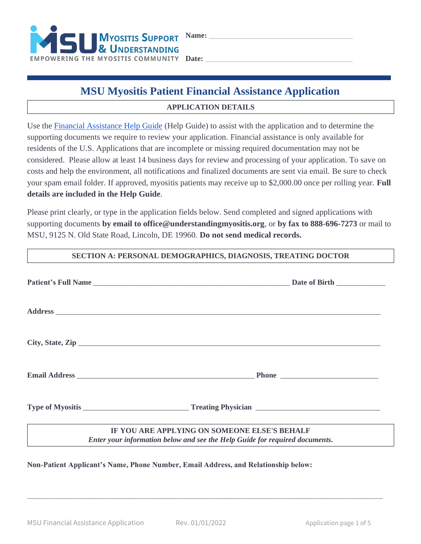

# **MSU Myositis Patient Financial Assistance Application**

## **APPLICATION DETAILS**

Use the [Financial Assistance Help Guide](https://understandingmyositis.org/docs/assistance/MSU-Financial-Assistance-Help-Guide.pdf) (Help Guide) to assist with the application and to determine the supporting documents we require to review your application. Financial assistance is only available for residents of the U.S. Applications that are incomplete or missing required documentation may not be considered. Please allow at least 14 business days for review and processing of your application. To save on costs and help the environment, all notifications and finalized documents are sent via email. Be sure to check your spam email folder. If approved, myositis patients may receive up to \$2,000.00 once per rolling year. **Full details are included in the Help Guide**.

Please print clearly, or type in the application fields below. Send completed and signed applications with supporting documents **by email to office@understandingmyositis.org**, or **by fax to 888-696-7273** or mail to MSU, 9125 N. Old State Road, Lincoln, DE 19960. **Do not send medical records.**

#### **SECTION A: PERSONAL DEMOGRAPHICS, DIAGNOSIS, TREATING DOCTOR**

| City, State, Zip                                                                                                            |
|-----------------------------------------------------------------------------------------------------------------------------|
|                                                                                                                             |
|                                                                                                                             |
| IF YOU ARE APPLYING ON SOMEONE ELSE'S BEHALF<br>Enter your information below and see the Help Guide for required documents. |

\_\_\_\_\_\_\_\_\_\_\_\_\_\_\_\_\_\_\_\_\_\_\_\_\_\_\_\_\_\_\_\_\_\_\_\_\_\_\_\_\_\_\_\_\_\_\_\_\_\_\_\_\_\_\_\_\_\_\_\_\_\_\_\_\_\_\_\_\_\_\_\_\_\_\_\_\_\_\_\_\_\_\_\_\_\_\_\_\_\_\_\_\_\_\_\_\_\_\_\_\_\_\_\_\_\_\_\_\_\_\_\_\_\_\_

**Non-Patient Applicant's Name, Phone Number, Email Address, and Relationship below:**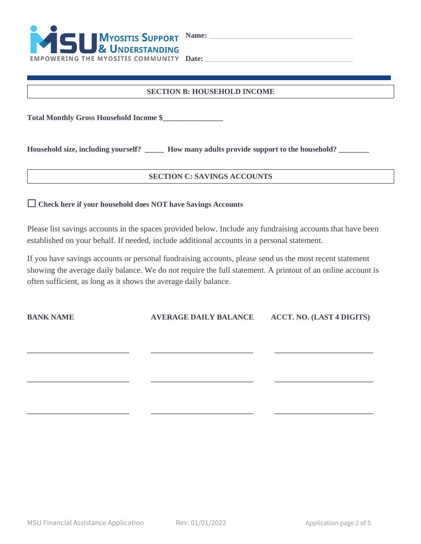

# **SECTION B: HOUSEHOLD INCOME**

**Total Monthly Gross Household Income \$\_\_\_\_\_\_\_\_\_\_\_\_\_\_\_\_** 

**Household size, including yourself? \_\_\_\_\_ How many adults provide support to the household? \_\_\_\_\_\_\_\_**

#### **SECTION C: SAVINGS ACCOUNTS**

☐ **Check here if your household does NOT have Savings Accounts**

Please list savings accounts in the spaces provided below. Include any fundraising accounts that have been established on your behalf. If needed, include additional accounts in a personal statement.

If you have savings accounts or personal fundraising accounts, please send us the most recent statement showing the average daily balance. We do not require the full statement. A printout of an online account is often sufficient, as long as it shows the average daily balance.

**\_\_\_\_\_\_\_\_\_\_\_\_\_\_\_\_\_\_\_\_\_\_\_\_\_\_\_ \_\_\_\_\_\_\_\_\_\_\_\_\_\_\_\_\_\_\_\_\_\_\_\_\_\_\_ \_\_\_\_\_\_\_\_\_\_\_\_\_\_\_\_\_\_\_\_\_\_\_\_\_\_**

**\_\_\_\_\_\_\_\_\_\_\_\_\_\_\_\_\_\_\_\_\_\_\_\_\_\_\_ \_\_\_\_\_\_\_\_\_\_\_\_\_\_\_\_\_\_\_\_\_\_\_\_\_\_\_ \_\_\_\_\_\_\_\_\_\_\_\_\_\_\_\_\_\_\_\_\_\_\_\_\_\_**

**\_\_\_\_\_\_\_\_\_\_\_\_\_\_\_\_\_\_\_\_\_\_\_\_\_\_\_ \_\_\_\_\_\_\_\_\_\_\_\_\_\_\_\_\_\_\_\_\_\_\_\_\_\_\_ \_\_\_\_\_\_\_\_\_\_\_\_\_\_\_\_\_\_\_\_\_\_\_\_\_\_**

**BANK NAME AVERAGE DAILY BALANCE ACCT. NO. (LAST 4 DIGITS)**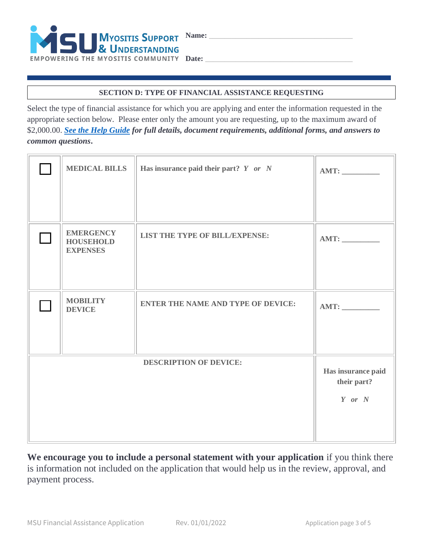

## **SECTION D: TYPE OF FINANCIAL ASSISTANCE REQUESTING**

Select the type of financial assistance for which you are applying and enter the information requested in the appropriate section below. Please enter only the amount you are requesting, up to the maximum award of \$2,000.00. *[See the Help Guide](https://understandingmyositis.org/docs/assistance/MSU-Financial-Assistance-Help-Guide.pdf) for full details, document requirements, additional forms, and answers to common questions***.**

| <b>MEDICAL BILLS</b>                                    | Has insurance paid their part? $Y$ or $N$ | AMT:                              |
|---------------------------------------------------------|-------------------------------------------|-----------------------------------|
| <b>EMERGENCY</b><br><b>HOUSEHOLD</b><br><b>EXPENSES</b> | LIST THE TYPE OF BILL/EXPENSE:            | AMT:                              |
| <b>MOBILITY</b><br><b>DEVICE</b>                        | <b>ENTER THE NAME AND TYPE OF DEVICE:</b> | AMT:                              |
|                                                         | <b>DESCRIPTION OF DEVICE:</b>             |                                   |
|                                                         |                                           | Has insurance paid<br>their part? |
|                                                         |                                           | $Y$ or $N$                        |
|                                                         |                                           |                                   |
|                                                         |                                           |                                   |

**We encourage you to include a personal statement with your application** if you think there is information not included on the application that would help us in the review, approval, and payment process.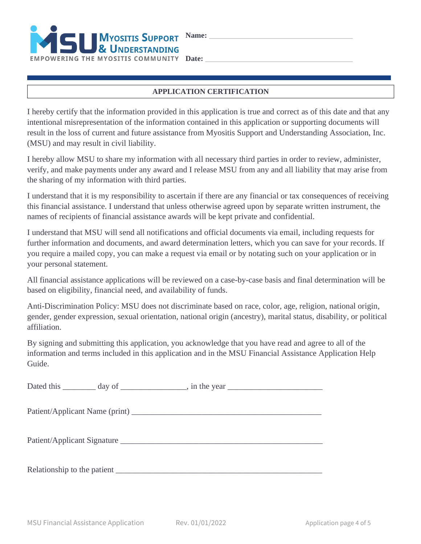

#### **APPLICATION CERTIFICATION**

I hereby certify that the information provided in this application is true and correct as of this date and that any intentional misrepresentation of the information contained in this application or supporting documents will result in the loss of current and future assistance from Myositis Support and Understanding Association, Inc. (MSU) and may result in civil liability.

I hereby allow MSU to share my information with all necessary third parties in order to review, administer, verify, and make payments under any award and I release MSU from any and all liability that may arise from the sharing of my information with third parties.

I understand that it is my responsibility to ascertain if there are any financial or tax consequences of receiving this financial assistance. I understand that unless otherwise agreed upon by separate written instrument, the names of recipients of financial assistance awards will be kept private and confidential.

I understand that MSU will send all notifications and official documents via email, including requests for further information and documents, and award determination letters, which you can save for your records. If you require a mailed copy, you can make a request via email or by notating such on your application or in your personal statement.

All financial assistance applications will be reviewed on a case-by-case basis and final determination will be based on eligibility, financial need, and availability of funds.

Anti-Discrimination Policy: MSU does not discriminate based on race, color, age, religion, national origin, gender, gender expression, sexual orientation, national origin (ancestry), marital status, disability, or political affiliation.

By signing and submitting this application, you acknowledge that you have read and agree to all of the information and terms included in this application and in the MSU Financial Assistance Application Help Guide.

| Relationship to the patient expansion of the set of the set of the set of the set of the set of the set of the set of the set of the set of the set of the set of the set of the set of the set of the set of the set of the s |  |
|--------------------------------------------------------------------------------------------------------------------------------------------------------------------------------------------------------------------------------|--|